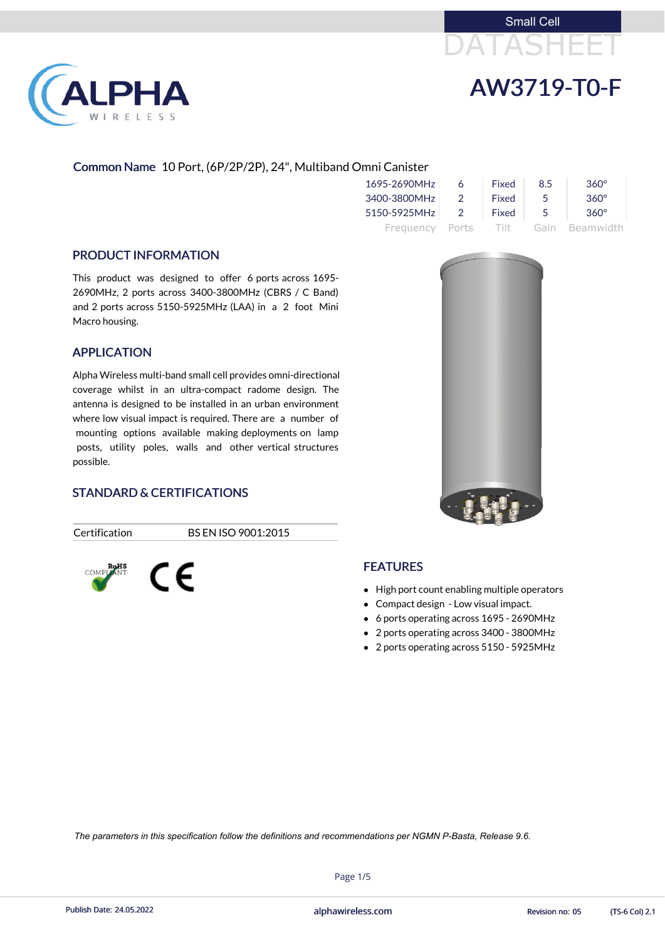# DATASHEET Small Cell



# AW3719-T0-F

#### Common Name 10 Port, (6P/2P/2P), 24", Multiband Omni Canister

| 1695-2690MHz    | 6              | Fixed | 8.5           | $360^\circ$    |
|-----------------|----------------|-------|---------------|----------------|
| 3400-3800MHz    | $\mathcal{P}$  | Fixed | $\mathcal{L}$ | $360^\circ$    |
| 5150-5925MHz    | $\overline{2}$ | Fixed | - 5           | $360^\circ$    |
| Frequency Ports |                | Tilt  |               | Gain Beamwidth |

#### PRODUCT INFORMATION

This product was designed to offer 6 ports across 1695- 2690MHz, 2 ports across 3400-3800MHz (CBRS / C Band) and 2 ports across 5150-5925MHz (LAA) in a 2 foot Mini Macro housing.

#### APPLICATION

- High port count enabling multiple operators
- Compact design Low visual impact.
- 6 ports operating across 1695 2690MHz
- 2 ports operating across 3400 3800MHz
- 2 ports operating across 5150 5925MHz

Alpha Wireless multi-band small cell provides omni-directional coverage whilst in an ultra-compact radome design. The antenna is designed to be installed in an urban environment where low visual impact is required. There are a number of mounting options available making deployments on lamp posts, utility poles, walls and other vertical structures possible.



#### STANDARD & CERTIFICATIONS

 $\epsilon$ 

Certification BS EN ISO 9001:2015



#### **FEATURES**

Page 1/5

Publish Date: 24.05.2022 **Exercise 20:03 Collection** and phawireless.com **Revision no: 05** (TS-6 Col) 2.1

*The parameters in this specification follow the definitions and recommendations per NGMN P-Basta, Release 9.6.*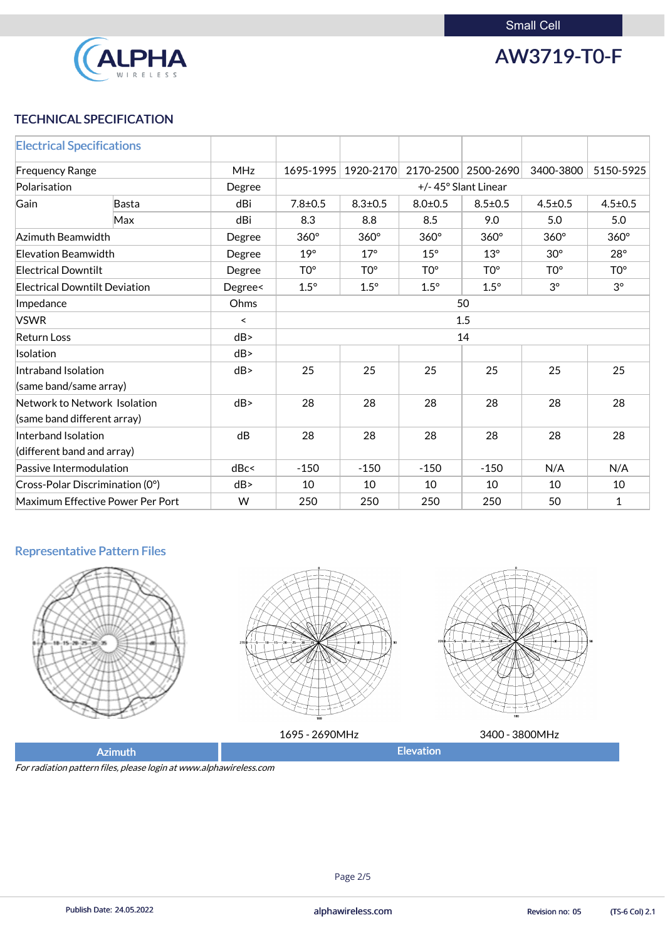

AW3719-T0-F

### TECHNICAL SPECIFICATION

| <b>Electrical Specifications</b>              |                                      |            |                                                |                 |                 |                 |                 |                 |
|-----------------------------------------------|--------------------------------------|------------|------------------------------------------------|-----------------|-----------------|-----------------|-----------------|-----------------|
| <b>Frequency Range</b>                        |                                      | <b>MHz</b> | 1695-1995                                      | 1920-2170       | 2170-2500       | 2500-2690       | 3400-3800       | 5150-5925       |
| Polarisation                                  |                                      | Degree     | +/-45° Slant Linear                            |                 |                 |                 |                 |                 |
| Gain                                          | Basta                                | dBi        | $7.8 \pm 0.5$                                  | $8.3 \pm 0.5$   | $8.0 + 0.5$     | $8.5 \pm 0.5$   | $4.5 \pm 0.5$   | $4.5 \pm 0.5$   |
|                                               | <b>Max</b>                           | dBi        | 8.3                                            | 8.8             | 8.5             | 9.0             | 5.0             | 5.0             |
| Azimuth Beamwidth                             |                                      | Degree     | $360^\circ$                                    | $360^\circ$     | $360^\circ$     | $360^\circ$     | $360^\circ$     | $360^\circ$     |
| <b>Elevation Beamwidth</b>                    |                                      | Degree     | $19^\circ$                                     | $17^\circ$      | $15^\circ$      | $13^\circ$      | $30^\circ$      | $28^\circ$      |
| <b>Electrical Downtilt</b>                    |                                      | Degree     | TO <sup>o</sup>                                | TO <sup>o</sup> | TO <sup>o</sup> | TO <sup>o</sup> | TO <sup>o</sup> | TO <sup>o</sup> |
|                                               | <b>Electrical Downtilt Deviation</b> | Degree<    | $1.5^\circ$                                    | $1.5^\circ$     | $1.5^\circ$     | $1.5^\circ$     | $3^{\circ}$     | $3^{\circ}$     |
| Ohms<br>Impedance                             |                                      |            | 50                                             |                 |                 |                 |                 |                 |
| <b>VSWR</b>                                   |                                      | $\prec$    | 1.5                                            |                 |                 |                 |                 |                 |
| <b>Return Loss</b>                            |                                      | dB         | 14                                             |                 |                 |                 |                 |                 |
| Isolation                                     |                                      | dB         |                                                |                 |                 |                 |                 |                 |
| Intraband Isolation<br>(same band/same array) |                                      | dB         | 25<br>25<br>25<br>25<br>25                     |                 |                 |                 | 25              |                 |
| (same band different array)                   | Network to Network Isolation         | dB         | 28                                             | 28              | 28              | 28              | 28              | 28              |
| Interband Isolation                           |                                      | dB         | 28                                             | 28              | 28              | 28              | 28              | 28              |
| (different band and array)                    |                                      |            |                                                |                 |                 |                 |                 |                 |
| Passive Intermodulation                       |                                      | dBc<       | $-150$                                         | $-150$          | $-150$          | $-150$          | N/A             | N/A             |
|                                               | Cross-Polar Discrimination (0°)      | dB         | 10                                             | 10              | 10              | 10              | 10              | 10              |
|                                               | Maximum Effective Power Per Port     | W          | 50<br>250<br>250<br>250<br>250<br>$\mathbf{1}$ |                 |                 |                 |                 |                 |

## Representative Pattern Files











| 590MHz           | <b>OMH<sub>z</sub></b><br>3400 |
|------------------|--------------------------------|
| <b>Elevation</b> |                                |
|                  |                                |

For radiation pattern files, please login at www.alphawireless.com



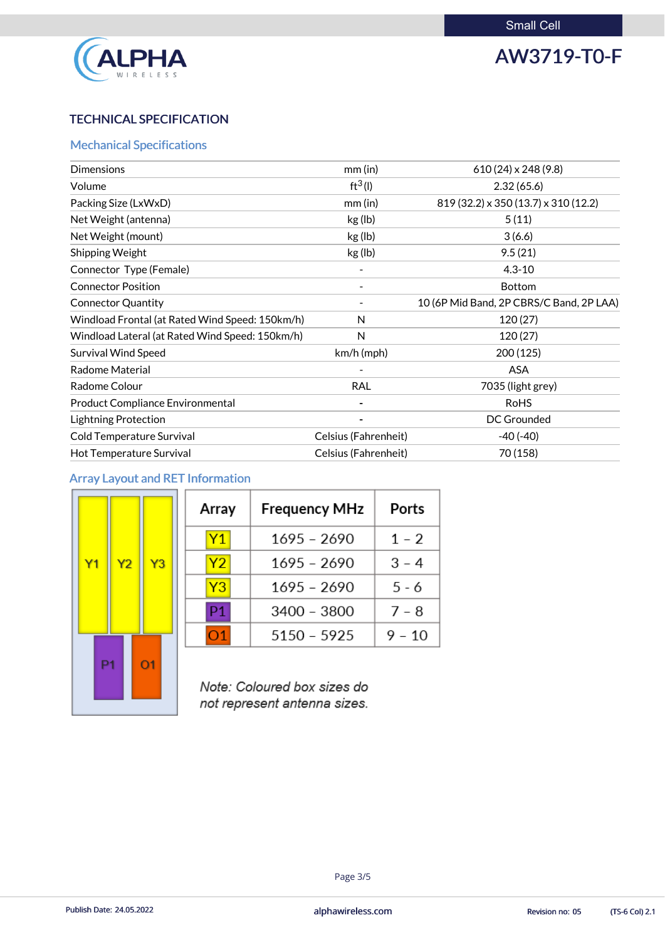

## AW3719-T0-F

## TECHNICAL SPECIFICATION

#### Mechanical Specifications

| <b>Dimensions</b>                               | $mm$ (in)            | $610(24) \times 248(9.8)$                |
|-------------------------------------------------|----------------------|------------------------------------------|
| Volume                                          | $ft^3(1)$            | 2.32(65.6)                               |
| Packing Size (LxWxD)                            | $mm$ (in)            | 819 (32.2) x 350 (13.7) x 310 (12.2)     |
| Net Weight (antenna)                            | kg (lb)              | 5(11)                                    |
| Net Weight (mount)                              | kg (lb)              | 3(6.6)                                   |
| <b>Shipping Weight</b>                          | kg (lb)              | 9.5(21)                                  |
| Connector Type (Female)                         |                      | $4.3 - 10$                               |
| <b>Connector Position</b>                       |                      | <b>Bottom</b>                            |
| <b>Connector Quantity</b>                       |                      | 10 (6P Mid Band, 2P CBRS/C Band, 2P LAA) |
| Windload Frontal (at Rated Wind Speed: 150km/h) | N                    | 120(27)                                  |
| Windload Lateral (at Rated Wind Speed: 150km/h) | N                    | 120(27)                                  |
| <b>Survival Wind Speed</b>                      | $km/h$ (mph)         | 200 (125)                                |
| <b>Radome Material</b>                          |                      | <b>ASA</b>                               |
| Radome Colour                                   | <b>RAL</b>           | 7035 (light grey)                        |
| <b>Product Compliance Environmental</b>         |                      | <b>RoHS</b>                              |
| <b>Lightning Protection</b>                     |                      | <b>DC Grounded</b>                       |
| Cold Temperature Survival                       | Celsius (Fahrenheit) | $-40(-40)$                               |
| Hot Temperature Survival                        | Celsius (Fahrenheit) | 70 (158)                                 |
|                                                 |                      |                                          |

### Array Layout and RET Information

п

|                |    |                |                | A         |
|----------------|----|----------------|----------------|-----------|
|                |    |                |                |           |
| Y <sub>1</sub> |    | Y <sub>2</sub> | Y3             |           |
|                |    |                |                |           |
|                |    |                |                | I         |
|                |    |                |                | $\mathbf$ |
|                | P1 |                | O <sub>1</sub> |           |
|                |    |                |                | N         |
|                |    |                |                | nc        |

| Array | <b>Frequency MHz</b> | Ports   |
|-------|----------------------|---------|
| Y1    | $1695 - 2690$        | $1 - 2$ |
| Y2    | $1695 - 2690$        | $3 - 4$ |
| Y3    | 1695 - 2690          | $5 - 6$ |
| P1    | 3400 - 3800          | $7 - 8$ |
|       | $5150 - 5925$        | 9 - 10  |

ote: Coloured box sizes do not represent antenna sizes.

#### Page 3/5

Publish Date: 24.05.2022 **Exercise Service Service Cole 2.1** alphawireless.com **Revision no: 05** (TS-6 Col) 2.1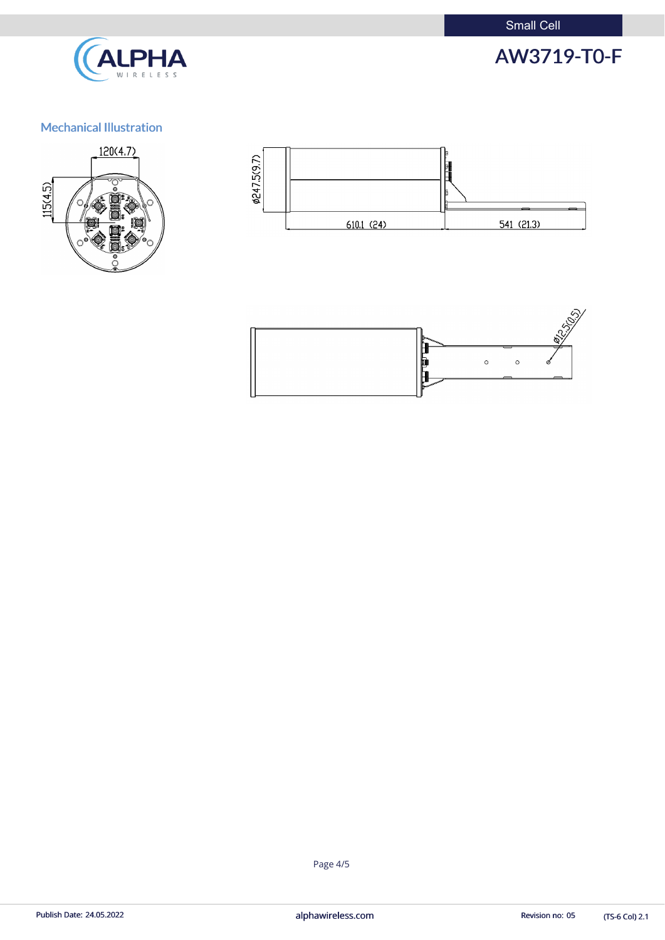Small Cell



## AW3719-T0-F

## Mechanical Illustration







(TS-6 Col) 2.1

Page 4/5

Publish Date: 24.05.2022 **alphawireless.com** and a series and a series of the Revision no: 05